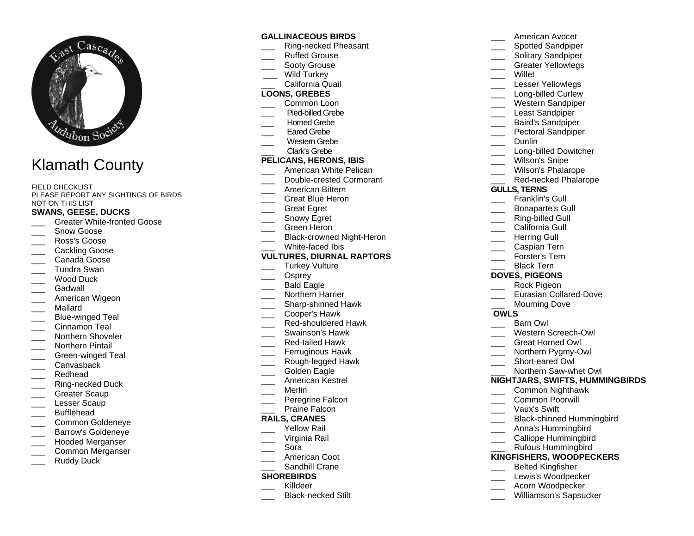

# Klamath County

FIELD CHECKLIST PLEASE REPORT ANY SIGHTINGS OF BIRDS NOT ON THIS LIST

## **SWANS, GEESE, DUCKS**

- Greater White-fronted Goose
- Snow Goose
- \_\_\_ Ross's Goose
- Cackling Goose
- \_\_\_ Canada Goose
- \_\_\_ Tundra Swan
- \_\_\_ Wood Duck
- Gadwall
- American Wigeon
- \_\_\_ Mallard
- Blue-winged Teal
- Cinnamon Teal
- Northern Shoveler
- \_\_\_ Northern Pintail
- Green-winged Teal
- \_\_\_ Canvasback
- \_\_\_ Redhead
- \_\_\_ Ring-necked Duck
- Greater Scaup
- Lesser Scaup
- \_\_\_ Bufflehead
- \_\_\_ Common Goldeneye
- \_\_\_ Barrow's Goldeneye
- \_\_\_ Hooded Merganser
- \_\_\_ Common Merganser
- Ruddy Duck

#### **GALLINACEOUS BIRDS**

- \_\_\_ Ring-necked Pheasant
- \_\_\_ Ruffed Grouse
- Sooty Grouse
- Wild Turkey
- California Quail

### **LOONS, GREBES**

- Common Loon
- **\_\_\_** Pied-billed Grebe
- Horned Grebe
- Eared Grebe
- Western Grebe
- \_\_\_ Clark's Grebe

# **PELICANS, HERONS, IBIS**

- American White Pelican
- Double-crested Cormorant
- \_\_\_ American Bittern
- Great Blue Heron
- \_\_\_ Great Egret
- Snowy Egret
- Green Heron
- Black-crowned Night-Heron
- White-faced Ibis

#### **VULTURES, DIURNAL RAPTORS**

- Turkey Vulture
- Osprey
- \_\_\_ Bald Eagle
- \_\_\_ Northern Harrier
- \_\_\_ Sharp-shinned Hawk
- \_\_\_ Cooper's Hawk
- Red-shouldered Hawk
- Swainson's Hawk
- \_\_\_ Red-tailed Hawk
- Ferruginous Hawk
- \_\_\_ Rough-legged Hawk
- Golden Eagle
- \_\_\_ American Kestrel
- \_\_\_ Merlin
- Peregrine Falcon
- Prairie Falcon

#### **RAILS, CRANES**

- Yellow Rail
- \_\_\_ Virginia Rail
- \_\_\_ Sora
- American Coot
- Sandhill Crane

#### **SHOREBIRDS**

- Killdeer
- \_\_\_ Black-necked Stilt
- \_\_\_ American Avocet Spotted Sandpiper
- \_\_\_ Solitary Sandpiper Greater Yellowlegs
- 
- \_\_\_ Willet
- Lesser Yellowlegs
- Long-billed Curlew
- Western Sandpiper
- Least Sandpiper
- \_\_\_ Baird's Sandpiper
- Pectoral Sandpiper
	- Dunlin
	- Long-billed Dowitcher
- Wilson's Snipe
- Wilson's Phalarope
- Red-necked Phalarope

#### **GULLS, TERNS**

- Franklin's Gull
- \_\_\_ Bonaparte's Gull
- Ring-billed Gull
- California Gull

\_\_\_ Caspian Tern Forster's Tern Black Tern **DOVES, PIGEONS** \_\_\_ Rock Pigeon

Mourning Dove

\_\_\_ Barn Owl

Eurasian Collared-Dove

\_\_\_ Western Screech-Owl \_\_\_ Great Horned Owl Northern Pygmy-Owl Short-eared Owl \_\_\_ Northern Saw-whet Owl **NIGHTJARS, SWIFTS, HUMMINGBIRDS**

\_\_\_ Common Nighthawk

Black-chinned Hummingbird

\_\_\_ Common Poorwill \_\_\_ Vaux's Swift

\_\_\_ Anna's Hummingbird \_\_\_ Calliope Hummingbird \_\_\_ Rufous Hummingbird **KINGFISHERS, WOODPECKERS** \_\_\_ Belted Kingfisher Lewis's Woodpecker \_\_\_ Acorn Woodpecker Williamson's Sapsucker

Herring Gull

**OWLS**